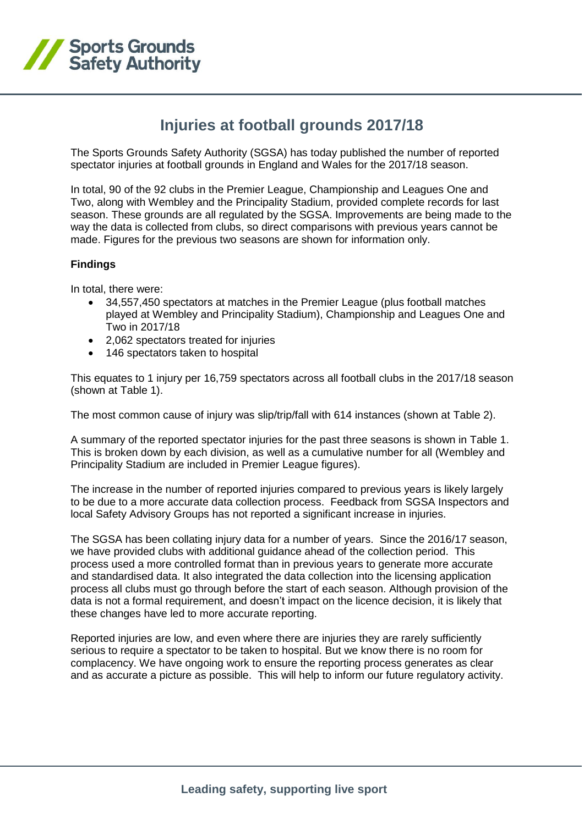

## **Injuries at football grounds 2017/18**

The Sports Grounds Safety Authority (SGSA) has today published the number of reported spectator injuries at football grounds in England and Wales for the 2017/18 season.

In total, 90 of the 92 clubs in the Premier League, Championship and Leagues One and Two, along with Wembley and the Principality Stadium, provided complete records for last season. These grounds are all regulated by the SGSA. Improvements are being made to the way the data is collected from clubs, so direct comparisons with previous years cannot be made. Figures for the previous two seasons are shown for information only.

## **Findings**

In total, there were:

- 34,557,450 spectators at matches in the Premier League (plus football matches played at Wembley and Principality Stadium), Championship and Leagues One and Two in 2017/18
- 2,062 spectators treated for injuries
- 146 spectators taken to hospital

This equates to 1 injury per 16,759 spectators across all football clubs in the 2017/18 season (shown at Table 1).

The most common cause of injury was slip/trip/fall with 614 instances (shown at Table 2).

A summary of the reported spectator injuries for the past three seasons is shown in Table 1. This is broken down by each division, as well as a cumulative number for all (Wembley and Principality Stadium are included in Premier League figures).

The increase in the number of reported injuries compared to previous years is likely largely to be due to a more accurate data collection process. Feedback from SGSA Inspectors and local Safety Advisory Groups has not reported a significant increase in injuries.

The SGSA has been collating injury data for a number of years. Since the 2016/17 season, we have provided clubs with additional guidance ahead of the collection period. This process used a more controlled format than in previous years to generate more accurate and standardised data. It also integrated the data collection into the licensing application process all clubs must go through before the start of each season. Although provision of the data is not a formal requirement, and doesn't impact on the licence decision, it is likely that these changes have led to more accurate reporting.

Reported injuries are low, and even where there are injuries they are rarely sufficiently serious to require a spectator to be taken to hospital. But we know there is no room for complacency. We have ongoing work to ensure the reporting process generates as clear and as accurate a picture as possible. This will help to inform our future regulatory activity.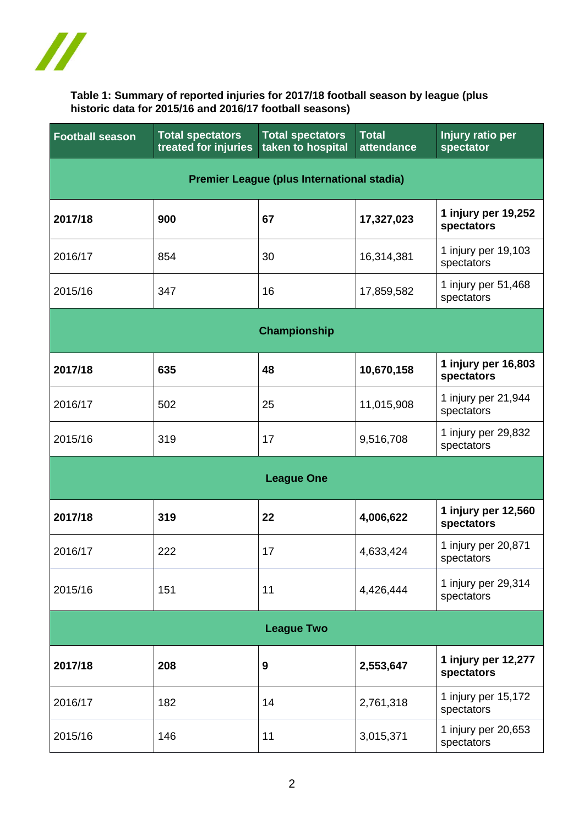

## **Table 1: Summary of reported injuries for 2017/18 football season by league (plus historic data for 2015/16 and 2016/17 football seasons)**

| <b>Football season</b>                     | <b>Total spectators</b><br>treated for injuries | <b>Total spectators</b><br>taken to hospital | <b>Total</b><br>attendance | <b>Injury ratio per</b><br>spectator |  |  |
|--------------------------------------------|-------------------------------------------------|----------------------------------------------|----------------------------|--------------------------------------|--|--|
| Premier League (plus International stadia) |                                                 |                                              |                            |                                      |  |  |
| 2017/18                                    | 900                                             | 67                                           | 17,327,023                 | 1 injury per 19,252<br>spectators    |  |  |
| 2016/17                                    | 854                                             | 30                                           | 16,314,381                 | 1 injury per 19,103<br>spectators    |  |  |
| 2015/16                                    | 347                                             | 16                                           | 17,859,582                 | 1 injury per 51,468<br>spectators    |  |  |
| Championship                               |                                                 |                                              |                            |                                      |  |  |
| 2017/18                                    | 635                                             | 48                                           | 10,670,158                 | 1 injury per 16,803<br>spectators    |  |  |
| 2016/17                                    | 502                                             | 25                                           | 11,015,908                 | 1 injury per 21,944<br>spectators    |  |  |
| 2015/16                                    | 319                                             | 17                                           | 9,516,708                  | 1 injury per 29,832<br>spectators    |  |  |
| <b>League One</b>                          |                                                 |                                              |                            |                                      |  |  |
| 2017/18                                    | 319                                             | 22                                           | 4,006,622                  | 1 injury per 12,560<br>spectators    |  |  |
| 2016/17                                    | 222                                             | 17                                           | 4,633,424                  | 1 injury per 20,871<br>spectators    |  |  |
| 2015/16                                    | 151                                             | 11                                           | 4,426,444                  | 1 injury per 29,314<br>spectators    |  |  |
| <b>League Two</b>                          |                                                 |                                              |                            |                                      |  |  |
| 2017/18                                    | 208                                             | 9                                            | 2,553,647                  | 1 injury per 12,277<br>spectators    |  |  |
| 2016/17                                    | 182                                             | 14                                           | 2,761,318                  | 1 injury per 15,172<br>spectators    |  |  |
| 2015/16                                    | 146                                             | 11                                           | 3,015,371                  | 1 injury per 20,653<br>spectators    |  |  |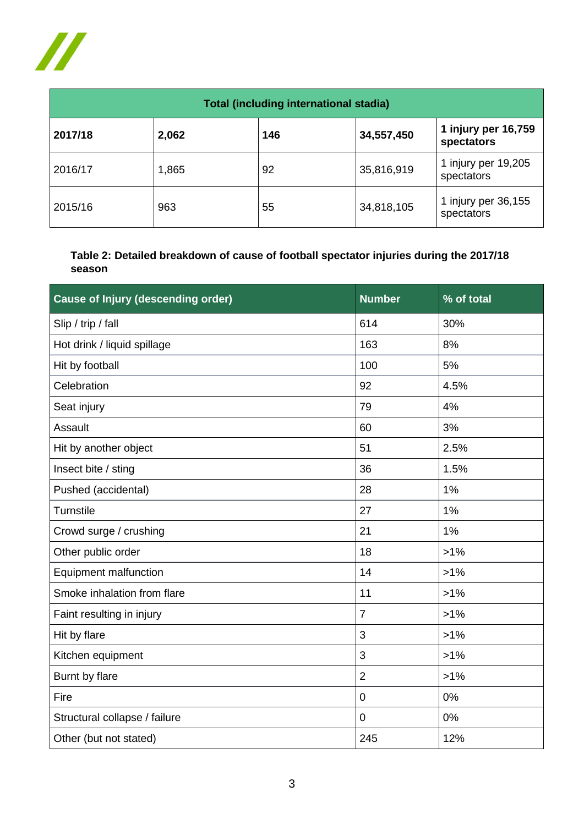

| <b>Total (including international stadia)</b> |       |     |            |                                   |  |  |
|-----------------------------------------------|-------|-----|------------|-----------------------------------|--|--|
| 2017/18                                       | 2,062 | 146 | 34,557,450 | 1 injury per 16,759<br>spectators |  |  |
| 2016/17                                       | 1,865 | 92  | 35,816,919 | 1 injury per 19,205<br>spectators |  |  |
| 2015/16                                       | 963   | 55  | 34,818,105 | 1 injury per 36,155<br>spectators |  |  |

## **Table 2: Detailed breakdown of cause of football spectator injuries during the 2017/18 season**

| <b>Cause of Injury (descending order)</b> | <b>Number</b>  | % of total |
|-------------------------------------------|----------------|------------|
| Slip / trip / fall                        | 614            | 30%        |
| Hot drink / liquid spillage               | 163            | 8%         |
| Hit by football                           | 100            | 5%         |
| Celebration                               | 92             | 4.5%       |
| Seat injury                               | 79             | 4%         |
| Assault                                   | 60             | 3%         |
| Hit by another object                     | 51             | 2.5%       |
| Insect bite / sting                       | 36             | 1.5%       |
| Pushed (accidental)                       | 28             | 1%         |
| <b>Turnstile</b>                          | 27             | 1%         |
| Crowd surge / crushing                    | 21             | 1%         |
| Other public order                        | 18             | $>1\%$     |
| Equipment malfunction                     | 14             | $>1\%$     |
| Smoke inhalation from flare               | 11             | $>1\%$     |
| Faint resulting in injury                 | $\overline{7}$ | $>1\%$     |
| Hit by flare                              | 3              | $>1\%$     |
| Kitchen equipment                         | 3              | $>1\%$     |
| Burnt by flare                            | $\overline{2}$ | $>1\%$     |
| Fire                                      | $\mathbf 0$    | 0%         |
| Structural collapse / failure             | $\mathbf 0$    | 0%         |
| Other (but not stated)                    | 245            | 12%        |